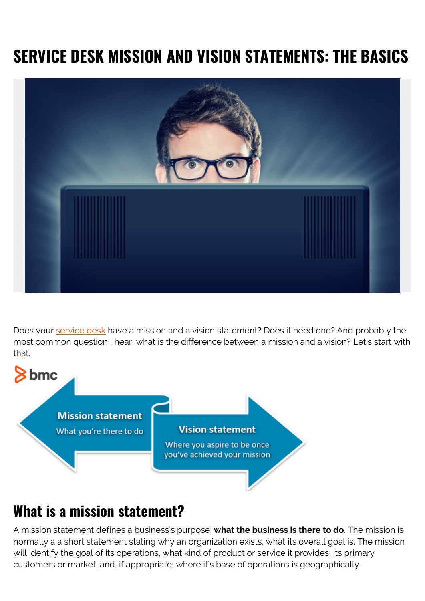# **SERVICE DESK MISSION AND VISION STATEMENTS: THE BASICS**



Does your **service desk** have a mission and a vision statement? Does it need one? And probably the most common question I hear, what is the difference between a mission and a vision? Let's start with that.



### **What is a mission statement?**

A mission statement defines a business's purpose: **what the business is there to do**. The mission is normally a a short statement stating why an organization exists, what its overall goal is. The mission will identify the goal of its operations, what kind of product or service it provides, its primary customers or market, and, if appropriate, where it's base of operations is geographically.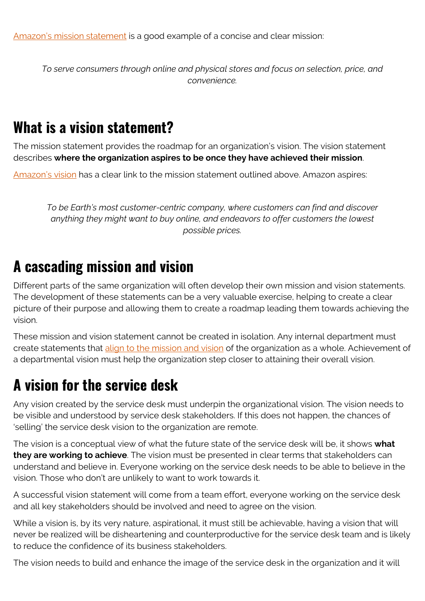[Amazon's mission statement](https://fourweekmba.com/amazon-vision-statement-mission-statement/) is a good example of a concise and clear mission:

*To serve consumers through online and physical stores and focus on selection, price, and convenience.*

### **What is a vision statement?**

The mission statement provides the roadmap for an organization's vision. The vision statement describes **where the organization aspires to be once they have achieved their mission**.

[Amazon's vision](https://www.amazon.jobs/en/working/working-amazon) has a clear link to the mission statement outlined above. Amazon aspires:

*To be Earth's most customer-centric company, where customers can find and discover anything they might want to buy online, and endeavors to offer customers the lowest possible prices.*

#### **A cascading mission and vision**

Different parts of the same organization will often develop their own mission and vision statements. The development of these statements can be a very valuable exercise, helping to create a clear picture of their purpose and allowing them to create a roadmap leading them towards achieving the vision.

These mission and vision statement cannot be created in isolation. Any internal department must create statements that [align to the mission and vision](https://blogs.bmc.com/blogs/it-business-alignment/) of the organization as a whole. Achievement of a departmental vision must help the organization step closer to attaining their overall vision.

### **A vision for the service desk**

Any vision created by the service desk must underpin the organizational vision. The vision needs to be visible and understood by service desk stakeholders. If this does not happen, the chances of 'selling' the service desk vision to the organization are remote.

The vision is a conceptual view of what the future state of the service desk will be, it shows **what they are working to achieve**. The vision must be presented in clear terms that stakeholders can understand and believe in. Everyone working on the service desk needs to be able to believe in the vision. Those who don't are unlikely to want to work towards it.

A successful vision statement will come from a team effort, everyone working on the service desk and all key stakeholders should be involved and need to agree on the vision.

While a vision is, by its very nature, aspirational, it must still be achievable, having a vision that will never be realized will be disheartening and counterproductive for the service desk team and is likely to reduce the confidence of its business stakeholders.

The vision needs to build and enhance the image of the service desk in the organization and it will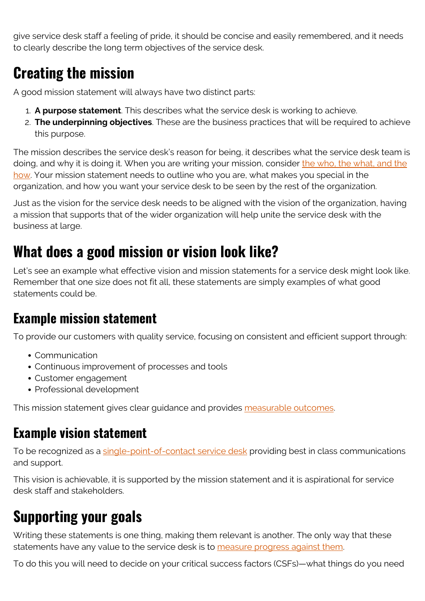give service desk staff a feeling of pride, it should be concise and easily remembered, and it needs to clearly describe the long term objectives of the service desk.

# **Creating the mission**

A good mission statement will always have two distinct parts:

- 1. **A purpose statement**. This describes what the service desk is working to achieve.
- 2. **The underpinning objectives**. These are the business practices that will be required to achieve this purpose.

The mission describes the service desk's reason for being, it describes what the service desk team is doing, and why it is doing it. When you are writing your mission, consider [the who, the what, and the](https://blogs.bmc.com/blogs/people-process-technology/) [how.](https://blogs.bmc.com/blogs/people-process-technology/) Your mission statement needs to outline who you are, what makes you special in the organization, and how you want your service desk to be seen by the rest of the organization.

Just as the vision for the service desk needs to be aligned with the vision of the organization, having a mission that supports that of the wider organization will help unite the service desk with the business at large.

### **What does a good mission or vision look like?**

Let's see an example what effective vision and mission statements for a service desk might look like. Remember that one size does not fit all, these statements are simply examples of what good statements could be.

#### **Example mission statement**

To provide our customers with quality service, focusing on consistent and efficient support through:

- Communication
- Continuous improvement of processes and tools
- Customer engagement
- Professional development

This mission statement gives clear guidance and provides [measurable outcomes.](https://blogs.bmc.com/blogs/smart-goals/)

#### **Example vision statement**

To be recognized as a [single-point-of-contact service desk](https://blogs.bmc.com/blogs/spoc-single-point-of-contact/) providing best in class communications and support.

This vision is achievable, it is supported by the mission statement and it is aspirational for service desk staff and stakeholders.

# **Supporting your goals**

Writing these statements is one thing, making them relevant is another. The only way that these statements have any value to the service desk is to [measure progress against them.](https://blogs.bmc.com/blogs/service-desk-benchmarks/)

To do this you will need to decide on your critical success factors (CSFs)—what things do you need